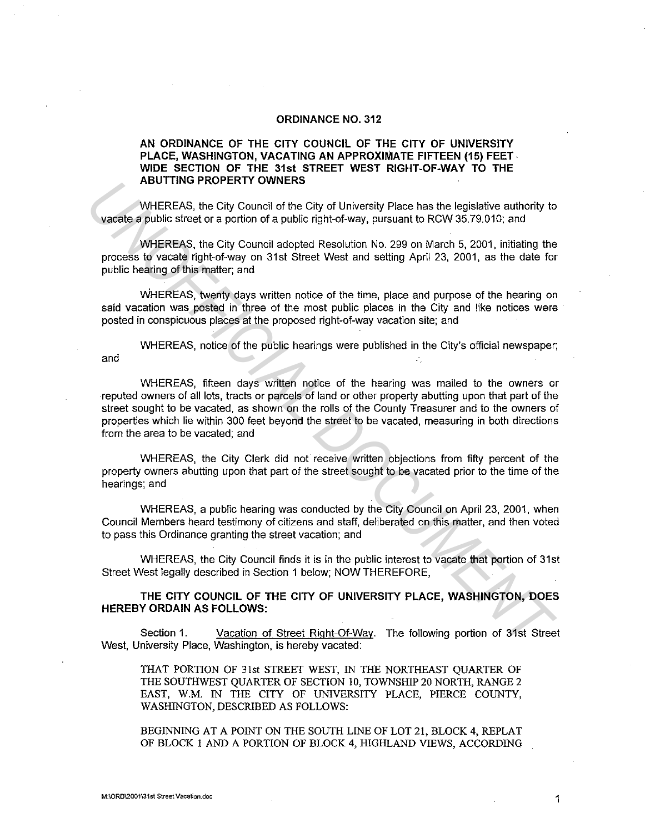## **ORDINANCE NO. 312**

## **AN ORDINANCE OF THE CITY COUNCIL OF THE CITY OF UNIVERSITY PLACE, WASHINGTON, VACATING AN APPROXIMATE FIFTEEN (15) FEET· WIDE SECTION OF THE 31st STREET WEST RIGHT-OF-WAY TO THE ABUTIING PROPERTY OWNERS**

WHEREAS, the City Council of the City of University Place has the legislative authority to vacate a public street or a portion of a public right-of-way, pursuant to RCW 35.79.010; and

WHEREAS, the City Council adopted Resolution No. 299 on March 5, 2001, initiating the process to vacate right-of-way on 31st Street West and setting April 23, 2001, as the date for public hearing of this matter; and

WHEREAS, twenty days written notice of the time, place and purpose of the hearing on said vacation was posted in three of the most public places in the City and like notices were posted in conspicuous places at the proposed right-of-way vacation site; and

WHEREAS, notice of the public hearings were published in the City's official newspaper; and

WHEREAS, fifteen days written notice of the hearing was mailed to the owners or reputed owners of all lots, tracts or parcels of land or other property abutting upon that part of the street sought to be vacated, as shown on the rolls of the County Treasurer and to the owners of properties which lie within 300 feet beyond the street to be vacated, measuring in both directions from the area to be vacated; and **EXERCAS, the City Council of the City of University Place has the legislative authority to vacaties a public heat of a public right-of-way, pursuant to RCW 35.79.010; and<br>WHEREAS, the City Council adopted Resolution No. 2** 

WHEREAS, the City Clerk did not receive written objections from fifty percent of the property owners abutting upon that part of the street sought to be vacated prior to the time of the hearings; and

WHEREAS, a public hearing was conducted by the City Council on April 23, 2001, when Council Members heard testimony of citizens and staff, deliberated on this matter, and then voted to pass this Ordinance granting the street vacation; and

WHEREAS, the City Council finds it is in the public interest to vacate that portion of 31st Street West legally described in Section 1 below; NOW THEREFORE,

**THE CITY COUNCIL OF THE CITY OF UNIVERSITY PLACE, WASHINGTON, DOES HEREBY ORDAIN AS FOLLOWS:** 

Section 1. Vacation of Street Right-Of-Way. The following portion of 31st Street West, University Place, Washington, is hereby vacated:

THAT PORTION OF 31st STREET WEST, IN THE NORTHEAST QUARTER OF THE SOUTHWEST QUARTER OF SECTION 10, TOWNSHIP 20 NORTH, RANGE 2 EAST, W.M. IN THE CITY OF UNIVERSITY PLACE, PIERCE COUNTY, WASHINGTON, DESCRIBED AS FOLLOWS:

BEGINNING AT A POINT ON THE SOUTH LINE OF LOT 21, BLOCK 4, REPLAT OF BLOCK I AND A PORTION OF BLOCK 4, HIGHLAND VIEWS, ACCORDING